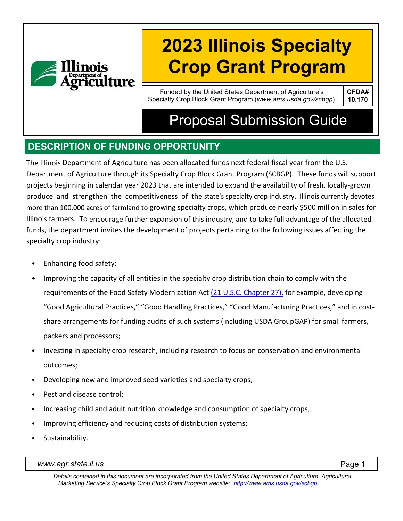

# **2023 Illinois Specialty Crop Grant Program**

Funded by the United States Department of Agriculture's Specialty Crop Block Grant Program (*[www.ams.usda.gov/scbgp](http://www.ams.usda.gov/scbgp))*) **CFDA# 10.170**

## Proposal Submission Guide

## **DESCRIPTION OF FUNDING OPPORTUNITY**

The Illinois Department of Agriculture has been allocated funds next federal fiscal year from the U.S. Department of Agriculture through its Specialty Crop Block Grant Program (SCBGP). These funds will support projects beginning in calendar year 2023 that are intended to expand the availability of fresh, locally-grown produce and strengthen the competitiveness of the state's specialty crop industry. Illinois currently devotes more than 100,000 acres of farmland to growing specialty crops, which produce nearly \$500 million in sales for Illinois farmers. To encourage further expansion of this industry, and to take full advantage of the allocated funds, the department invites the development of projects pertaining to the following issues affecting the specialty crop industry:

- Enhancing food safety;
- Improving the capacity of all entities in the specialty crop distribution chain to comply with the requirements of the Food Safety Modernization Act [\(21 U.S.C. Chapter 27\),](http://uscode.house.gov/view.xhtml?path=/prelim@title21/chapter27&edition=prelim) for example, developing "Good Agricultural Practices," "Good Handling Practices," "Good Manufacturing Practices," and in costshare arrangements for funding audits of such systems (including USDA GroupGAP) for small farmers, packers and processors;
- Investing in specialty crop research, including research to focus on conservation and environmental outcomes;
- Developing new and improved seed varieties and specialty crops;
- Pest and disease control:
- Increasing child and adult nutrition knowledge and consumption of specialty crops;
- Improving efficiency and reducing costs of distribution systems;
- Sustainability.

*[www.agr.state.il.us](http://www.agr.state.il.us/)* Page 1

*Details contained in this document are incorporated from the United States Department of Agriculture, Agricultural Marketing Service's Specialty Crop Block Grant Program website: <http://www.ams.usda.gov/scbgp>*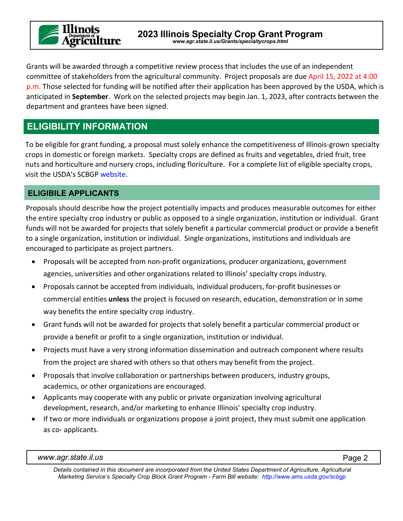

Grants will be awarded through a competitive review process that includes the use of an independent committee of stakeholders from the agricultural community. Project proposals are due April 15, 2022 at 4:00 p.m. Those selected for funding will be notified after their application has been approved by the USDA, which is anticipated in **September**. Work on the selected projects may begin Jan. 1, 2023, after contracts between the department and grantees have been signed.

## **ELIGIBILITY INFORMATION**

To be eligible for grant funding, a proposal must solely enhance the competitiveness of Illinois-grown specialty crops in domestic or foreign markets. Specialty crops are defined as fruits and vegetables, dried fruit, tree nuts and horticulture and nursery crops, including floriculture. For a complete list of eligible specialty crops, visit the USDA's SCBGP [website.](https://www.ams.usda.gov/services/grants/scbgp)

#### **ELIGIBILE APPLICANTS**

Proposals should describe how the project potentially impacts and produces measurable outcomes for either the entire specialty crop industry or public as opposed to a single organization, institution or individual. Grant funds will not be awarded for projects that solely benefit a particular commercial product or provide a benefit to a single organization, institution or individual. Single organizations, institutions and individuals are encouraged to participate as project partners.

- Proposals will be accepted from non-profit organizations, producer organizations, government agencies, universities and other organizations related to Illinois' specialty crops industry.
- Proposals cannot be accepted from individuals, individual producers, for-profit businesses or commercial entities **unless** the project is focused on research, education, demonstration or in some way benefits the entire specialty crop industry.
- Grant funds will not be awarded for projects that solely benefit a particular commercial product or provide a benefit or profit to a single organization, institution or individual.
- Projects must have a very strong information dissemination and outreach component where results from the project are shared with others so that others may benefit from the project.
- Proposals that involve collaboration or partnerships between producers, industry groups, academics, or other organizations are encouraged.
- Applicants may cooperate with any public or private organization involving agricultural development, research, and/or marketing to enhance Illinois' specialty crop industry.
- If two or more individuals or organizations propose a joint project, they must submit one application as co- applicants.

*Details contained in this document are incorporated from the United States Department of Agriculture, Agricultural Marketing Service's Specialty Crop Block Grant Program - Farm Bill website: <http://www.ams.usda.gov/scbgp>*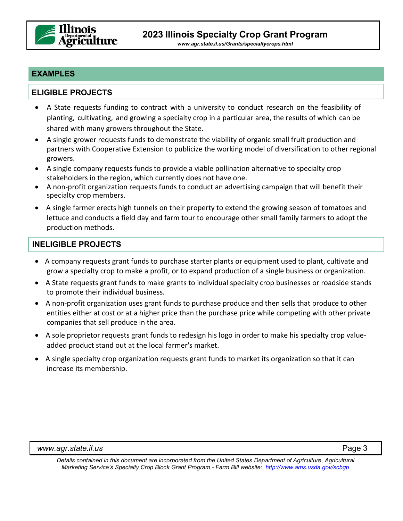

*[www.agr.state.il.us/Grants/specialtycrops.html](http://www.agr.state.il.us/Grants/specialtycrops.html)*

#### **EXAMPLES**

#### **ELIGIBLE PROJECTS**

- A State requests funding to contract with a university to conduct research on the feasibility of planting, cultivating, and growing a specialty crop in a particular area, the results of which can be shared with many growers throughout the State.
- A single grower requests funds to demonstrate the viability of organic small fruit production and partners with Cooperative Extension to publicize the working model of diversification to other regional growers.
- A single company requests funds to provide a viable pollination alternative to specialty crop stakeholders in the region, which currently does not have one.
- A non-profit organization requests funds to conduct an advertising campaign that will benefit their specialty crop members.
- A single farmer erects high tunnels on their property to extend the growing season of tomatoes and lettuce and conducts a field day and farm tour to encourage other small family farmers to adopt the production methods.

#### **INELIGIBLE PROJECTS**

- A company requests grant funds to purchase starter plants or equipment used to plant, cultivate and grow a specialty crop to make a profit, or to expand production of a single business or organization.
- A State requests grant funds to make grants to individual specialty crop businesses or roadside stands to promote their individual business.
- A non-profit organization uses grant funds to purchase produce and then sells that produce to other entities either at cost or at a higher price than the purchase price while competing with other private companies that sell produce in the area.
- A sole proprietor requests grant funds to redesign his logo in order to make his specialty crop valueadded product stand out at the local farmer's market.
- A single specialty crop organization requests grant funds to market its organization so that it can increase its membership.

*Details contained in this document are incorporated from the United States Department of Agriculture, Agricultural Marketing Service's Specialty Crop Block Grant Program - Farm Bill website:<http://www.ams.usda.gov/scbgp>*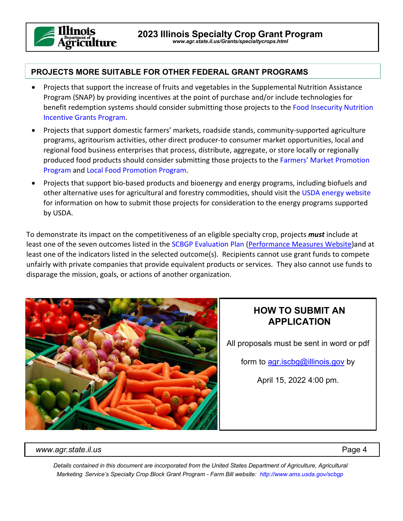

#### **PROJECTS MORE SUITABLE FOR OTHER FEDERAL GRANT PROGRAMS**

- Projects that support the increase of fruits and vegetables in the Supplemental Nutrition Assistance Program (SNAP) by providing incentives at the point of purchase and/or include technologies for benefit redemption systems should consider submitting those projects to the [Food Insecurity Nutrition](http://nifa.usda.gov/program/food-insecurity-nutrition-incentive-fini-grant-program)  [Incentive Grants Program.](http://nifa.usda.gov/program/food-insecurity-nutrition-incentive-fini-grant-program)
- Projects that support domestic farmers' markets, roadside stands, community-supported agriculture programs, agritourism activities, other direct producer-to consumer market opportunities, local and regional food business enterprises that process, distribute, aggregate, or store locally or regionally produced food products should consider submitting those projects to the [Farmers' Market Promotion](https://www.ams.usda.gov/services/grants/fmpp)  [Program](https://www.ams.usda.gov/services/grants/fmpp) an[d Local Food Promotion Program.](https://www.ams.usda.gov/services/grants/lfpp)
- Projects that support bio-based products and bioenergy and energy programs, including biofuels and other alternative uses for agricultural and forestry commodities, should visit th[e USDA energy website](http://www.usda.gov/energy/matrix/home) for information on how to submit those projects for consideration to the energy programs supported by USDA.

To demonstrate its impact on the competitiveness of an eligible specialty crop, projects *must* include at least one of the seven outcomes listed in the [SCBGP Evaluation Plan](https://www.ams.usda.gov/sites/default/files/media/SCBGPPerformanceMeasures.pdf) [\(Performance Measures Website\)](https://www.ams.usda.gov/services/grants/performance-measures)and at least one of the indicators listed in the selected outcome(s). Recipients cannot use grant funds to compete unfairly with private companies that provide equivalent products or services. They also cannot use funds to disparage the mission, goals, or actions of another organization.



#### **HOW TO SUBMIT AN APPLICATION**

All proposals must be sent in word or pdf

form to [agr.iscbg@illinois.gov](mailto:agr.iscbg@illinois.gov) by

April 15, 2022 4:00 pm.

*[www.agr.state.il.us](http://www.agr.state.il.us/)* Page 4

*Details contained in this document are incorporated from the United States Department of Agriculture, Agricultural Marketing Service's Specialty Crop Block Grant Program - Farm Bill website: <http://www.ams.usda.gov/scbgp>*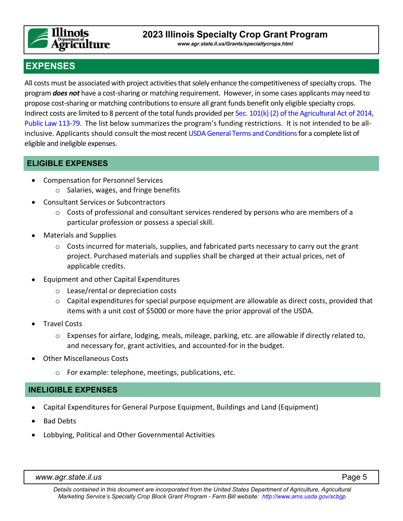

*[www.agr.state.il.us/Grants/specialtycrops.html](http://www.agr.state.il.us/Grants/specialtycrops.html)*

## **EXPENSES**

All costs must be associated with project activities that solely enhance the competitiveness of specialty crops. The program *does not* have a cost-sharing or matching requirement. However, in some cases applicants may need to propose cost-sharing or matching contributions to ensure all grant funds benefit only eligible specialty crops. Indirect costs are limited to 8 percent of the total funds provided per Sec. 101(k) [\(2\) of the Agricultural Act of 2014,](http://uscode.house.gov/view.xhtml?req=specialty+crop+block+grants&f=treesort&fq=true&num=0&hl=true&edition=prelim&granuleId=USC-prelim-title7-section1621)  [Public Law 113-79.](http://uscode.house.gov/view.xhtml?req=specialty+crop+block+grants&f=treesort&fq=true&num=0&hl=true&edition=prelim&granuleId=USC-prelim-title7-section1621) The list below summarizes the program's funding restrictions. It is not intended to be allinclusive. Applicants should consult the most recen[t USDA General Terms and Conditions f](https://www.ams.usda.gov/sites/default/files/media/FY2021_GD_TermsandConditions.pdf)or a complete list of eligible and ineligible expenses.

#### **ELIGIBLE EXPENSES**

- Compensation for Personnel Services
	- o Salaries, wages, and fringe benefits
- Consultant Services or Subcontractors
	- $\circ$  Costs of professional and consultant services rendered by persons who are members of a particular profession or possess a special skill.
- Materials and Supplies
	- $\circ$  Costs incurred for materials, supplies, and fabricated parts necessary to carry out the grant project. Purchased materials and supplies shall be charged at their actual prices, net of applicable credits.
- Equipment and other Capital Expenditures
	- o Lease/rental or depreciation costs
	- $\circ$  Capital expenditures for special purpose equipment are allowable as direct costs, provided that items with a unit cost of \$5000 or more have the prior approval of the USDA.
- Travel Costs
	- o Expenses for airfare, lodging, meals, mileage, parking, etc. are allowable if directly related to, and necessary for, grant activities, and accounted-for in the budget.
- Other Miscellaneous Costs
	- o For example: telephone, meetings, publications, etc.

#### **INELIGIBLE EXPENSES**

- Capital Expenditures for General Purpose Equipment, Buildings and Land (Equipment)
- Bad Debts
- Lobbying, Political and Other Governmental Activities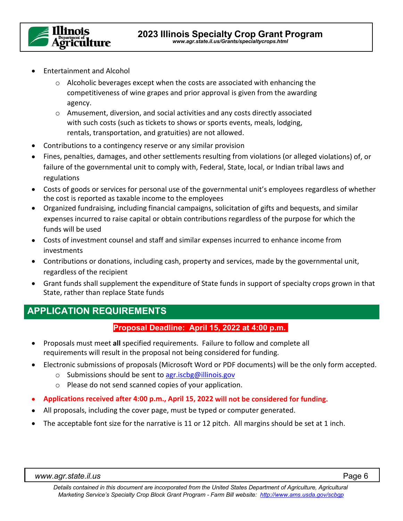

- Entertainment and Alcohol
	- o Alcoholic beverages except when the costs are associated with enhancing the competitiveness of wine grapes and prior approval is given from the awarding agency.
	- o Amusement, diversion, and social activities and any costs directly associated with such costs (such as tickets to shows or sports events, meals, lodging, rentals, transportation, and gratuities) are not allowed.
- Contributions to a contingency reserve or any similar provision
- Fines, penalties, damages, and other settlements resulting from violations (or alleged violations) of, or failure of the governmental unit to comply with, Federal, State, local, or Indian tribal laws and regulations
- Costs of goods or services for personal use of the governmental unit's employees regardless of whether the cost is reported as taxable income to the employees
- Organized fundraising, including financial campaigns, solicitation of gifts and bequests, and similar expenses incurred to raise capital or obtain contributions regardless of the purpose for which the funds will be used
- Costs of investment counsel and staff and similar expenses incurred to enhance income from investments
- Contributions or donations, including cash, property and services, made by the governmental unit, regardless of the recipient
- Grant funds shall supplement the expenditure of State funds in support of specialty crops grown in that State, rather than replace State funds

#### **APPLICATION REQUIREMENTS**

#### **Proposal Deadline: April 15, 2022 at 4:00 p.m.**

- Proposals must meet **all** specified requirements. Failure to follow and complete all requirements will result in the proposal not being considered for funding.
- Electronic submissions of proposals (Microsoft Word or PDF documents) will be the only form accepted.
	- o Submissions should be sent to [agr.iscbg@illinois.gov](mailto:agr.iscbg@illinois.gov)
	- o Please do not send scanned copies of your application.
- **Applications received after 4:00 p.m., April 15, 2022 will not be considered for funding.**
- All proposals, including the cover page, must be typed or computer generated.
- The acceptable font size for the narrative is 11 or 12 pitch. All margins should be set at 1 inch.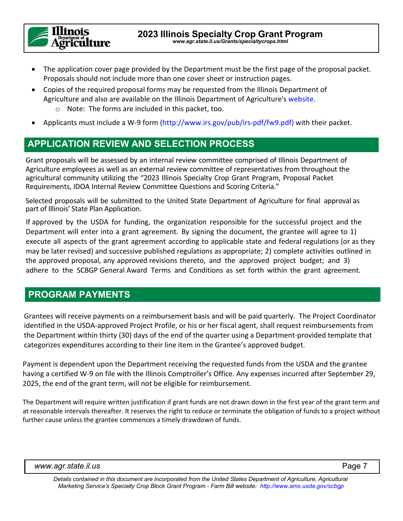

- The application cover page provided by the Department must be the first page of the proposal packet. Proposals should not include more than one cover sheet or instruction pages.
- Copies of the required proposal forms may be requested from the Illinois Department of Agriculture and also are available on the Illinois Department of Agriculture's [website.](http://www.agr.state.il.us/speciality-crop-grants/)
	- o Note: The forms are included in this packet, too.
- Applicants must include a W-9 form [\(http://www.irs.gov/pub/irs-pdf/fw9.pdf\)](http://www.irs.gov/pub/irs-pdf/fw9.pdf) with their packet.

## **APPLICATION REVIEW AND SELECTION PROCESS**

Grant proposals will be assessed by an internal review committee comprised of Illinois Department of Agriculture employees as well as an external review committee of representatives from throughout the agricultural community utilizing the "2023 Illinois Specialty Crop Grant Program, Proposal Packet Requirements, IDOA Internal Review Committee Questions and Scoring Criteria."

Selected proposals will be submitted to the United State Department of Agriculture for final approval as part of Illinois' State Plan Application.

If approved by the USDA for funding, the organization responsible for the successful project and the Department will enter into a grant agreement. By signing the document, the grantee will agree to 1) execute all aspects of the grant agreement according to applicable state and federal regulations (or as they may be later revised) and successive published regulations as appropriate; 2) complete activities outlined in the approved proposal, any approved revisions thereto, and the approved project budget; and 3) adhere to the SCBGP General Award Terms and Conditions as set forth within the grant agreement.

## **PROGRAM PAYMENTS**

Grantees will receive payments on a reimbursement basis and will be paid quarterly. The Project Coordinator identified in the USDA-approved Project Profile, or his or her fiscal agent, shall request reimbursements from the Department within thirty (30) days of the end of the quarter using a Department-provided template that categorizes expenditures according to their line item in the Grantee's approved budget.

Payment is dependent upon the Department receiving the requested funds from the USDA and the grantee having a certified W-9 on file with the Illinois Comptroller's Office. Any expenses incurred after September 29, 2025, the end of the grant term, will not be eligible for reimbursement.

The Department will require written justification if grant funds are not drawn down in the first year of the grant term and at reasonable intervals thereafter. It reserves the right to reduce or terminate the obligation of funds to a project without further cause unless the grantee commences a timely drawdown of funds.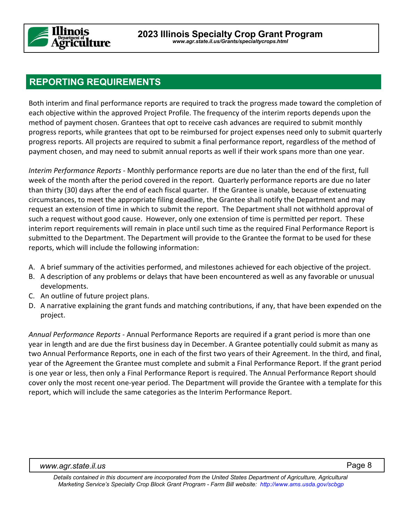

#### **REPORTING REQUIREMENTS**

Both interim and final performance reports are required to track the progress made toward the completion of each objective within the approved Project Profile. The frequency of the interim reports depends upon the method of payment chosen. Grantees that opt to receive cash advances are required to submit monthly progress reports, while grantees that opt to be reimbursed for project expenses need only to submit quarterly progress reports. All projects are required to submit a final performance report, regardless of the method of payment chosen, and may need to submit annual reports as well if their work spans more than one year.

*Interim Performance Reports* - Monthly performance reports are due no later than the end of the first, full week of the month after the period covered in the report. Quarterly performance reports are due no later than thirty (30) days after the end of each fiscal quarter. If the Grantee is unable, because of extenuating circumstances, to meet the appropriate filing deadline, the Grantee shall notify the Department and may request an extension of time in which to submit the report. The Department shall not withhold approval of such a request without good cause. However, only one extension of time is permitted per report. These interim report requirements will remain in place until such time as the required Final Performance Report is submitted to the Department. The Department will provide to the Grantee the format to be used for these reports, which will include the following information:

- A. A brief summary of the activities performed, and milestones achieved for each objective of the project.
- B. A description of any problems or delays that have been encountered as well as any favorable or unusual developments.
- C. An outline of future project plans.
- D. A narrative explaining the grant funds and matching contributions, if any, that have been expended on the project.

*Annual Performance Reports* - Annual Performance Reports are required if a grant period is more than one year in length and are due the first business day in December. A Grantee potentially could submit as many as two Annual Performance Reports, one in each of the first two years of their Agreement. In the third, and final, year of the Agreement the Grantee must complete and submit a Final Performance Report. If the grant period is one year or less, then only a Final Performance Report is required. The Annual Performance Report should cover only the most recent one-year period. The Department will provide the Grantee with a template for this report, which will include the same categories as the Interim Performance Report.

*Details contained in this document are incorporated from the United States Department of Agriculture, Agricultural Marketing Service's Specialty Crop Block Grant Program - Farm Bill website: <http://www.ams.usda.gov/scbgp>*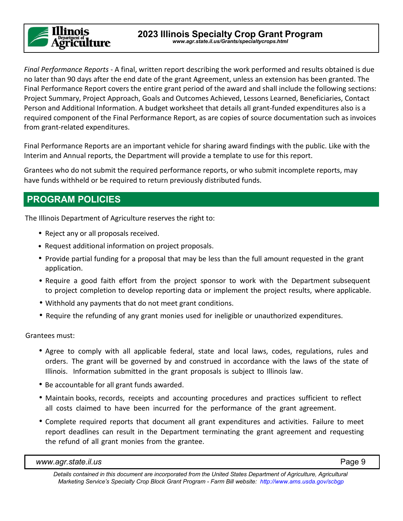## inois **Department of**<br>**griculture**

**2023 Illinois Specialty Crop Grant Program** *[www.agr.state.il.us/Grants/specialtycrops.html](http://www.agr.state.il.us/Grants/specialtycrops.html)*

*Final Performance Reports* - A final, written report describing the work performed and results obtained is due no later than 90 days after the end date of the grant Agreement, unless an extension has been granted. The Final Performance Report covers the entire grant period of the award and shall include the following sections: Project Summary, Project Approach, Goals and Outcomes Achieved, Lessons Learned, Beneficiaries, Contact Person and Additional Information. A budget worksheet that details all grant-funded expenditures also is a required component of the Final Performance Report, as are copies of source documentation such as invoices from grant-related expenditures.

Final Performance Reports are an important vehicle for sharing award findings with the public. Like with the Interim and Annual reports, the Department will provide a template to use for this report.

Grantees who do not submit the required performance reports, or who submit incomplete reports, may have funds withheld or be required to return previously distributed funds.

## **PROGRAM POLICIES**

The Illinois Department of Agriculture reserves the right to:

- Reject any or all proposals received.
- Request additional information on project proposals.
- Provide partial funding for a proposal that may be less than the full amount requested in the grant application.
- Require a good faith effort from the project sponsor to work with the Department subsequent to project completion to develop reporting data or implement the project results, where applicable.
- Withhold any payments that do not meet grant conditions.
- Require the refunding of any grant monies used for ineligible or unauthorized expenditures.

Grantees must:

- Agree to comply with all applicable federal, state and local laws, codes, regulations, rules and orders. The grant will be governed by and construed in accordance with the laws of the state of Illinois. Information submitted in the grant proposals is subject to Illinois law.
- Be accountable for all grant funds awarded.
- Maintain books, records, receipts and accounting procedures and practices sufficient to reflect all costs claimed to have been incurred for the performance of the grant agreement.
- Complete required reports that document all grant expenditures and activities. Failure to meet report deadlines can result in the Department terminating the grant agreement and requesting the refund of all grant monies from the grantee.

*Details contained in this document are incorporated from the United States Department of Agriculture, Agricultural Marketing Service's Specialty Crop Block Grant Program - Farm Bill website: <http://www.ams.usda.gov/scbgp>*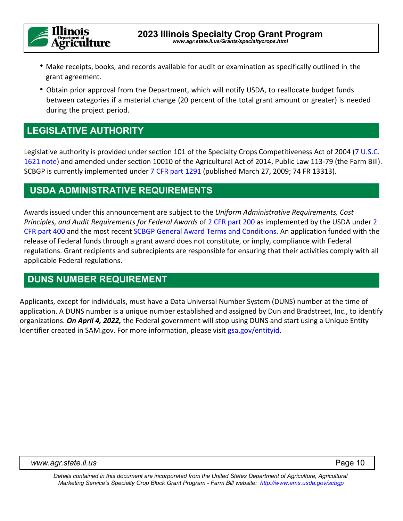

- Make receipts, books, and records available for audit or examination as specifically outlined in the grant agreement.
- Obtain prior approval from the Department, which will notify USDA, to reallocate budget funds between categories if a material change (20 percent of the total grant amount or greater) is needed during the project period.

#### **LEGISLATIVE AUTHORITY**

Legislative authority is provided under section 101 of the Specialty Crops Competitiveness Act of 2004 (7 U.S.C. [1621 note\)](http://uscode.house.gov/view.xhtml?req=(title:7%20section:1621%20edition:prelim)%20OR%20(granuleid:USC-prelim-title7-section1621)&f=treesort&edition=prelim&num=0&jumpTo=true) and amended under section 10010 of the Agricultural Act of 2014, Public Law 113-79 (the Farm Bill). SCBGP is currently implemented under [7 CFR part 1291](https://www.federalregister.gov/articles/2009/03/27/E9-6816/specialty-crop-block-grant-program-farm-bill) (published March 27, 2009; 74 FR 13313).

#### **USDA ADMINISTRATIVE REQUIREMENTS**

Awards issued under this announcement are subject to the *Uniform Administrative Requirements, Cost Principles, and Audit Requirements for Federal Awards* of [2 CFR part 200](http://www.ecfr.gov/cgi-bin/retrieveECFR?gp=&SID=27767ced17852a0f709e351009375919&n=pt2.1.200&r=PART&ty=HTML#_top) as implemented by the USDA under [2](http://www.ecfr.gov/cgi-bin/text-idx?SID=3f25ca1f21583e03b13f595d0d9c518d&tpl=/ecfrbrowse/Title02/2chapterIV.tpl)  [CFR part 400](http://www.ecfr.gov/cgi-bin/text-idx?SID=3f25ca1f21583e03b13f595d0d9c518d&tpl=/ecfrbrowse/Title02/2chapterIV.tpl) and the most recent [SCBGP General Award Terms and Conditions.](https://www.ams.usda.gov/sites/default/files/media/FY2021_GD_TermsandConditions.pdf) An application funded with the release of Federal funds through a grant award does not constitute, or imply, compliance with Federal regulations. Grant recipients and subrecipients are responsible for ensuring that their activities comply with all applicable Federal regulations.

#### **DUNS NUMBER REQUIREMENT**

Applicants, except for individuals, must have a Data Universal Number System (DUNS) number at the time of application. A DUNS number is a unique number established and assigned by Dun and Bradstreet, Inc., to identify organizations. *On April 4, 2022,* the Federal government will stop using DUNS and start using a Unique Entity Identifier created in SAM.gov. For more information, please visit gsa.gov/entityid.